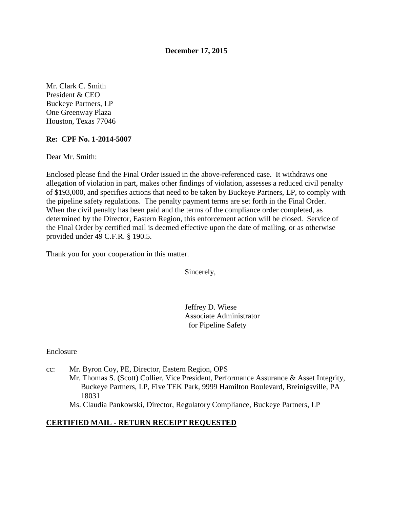#### **December 17, 2015**

Mr. Clark C. Smith President & CEO Buckeye Partners, LP One Greenway Plaza Houston, Texas 77046

#### **Re: CPF No. 1-2014-5007**

Dear Mr. Smith:

Enclosed please find the Final Order issued in the above-referenced case. It withdraws one allegation of violation in part, makes other findings of violation, assesses a reduced civil penalty of \$193,000, and specifies actions that need to be taken by Buckeye Partners, LP, to comply with the pipeline safety regulations. The penalty payment terms are set forth in the Final Order. When the civil penalty has been paid and the terms of the compliance order completed, as determined by the Director, Eastern Region, this enforcement action will be closed. Service of the Final Order by certified mail is deemed effective upon the date of mailing, or as otherwise provided under 49 C.F.R. § 190.5.

Thank you for your cooperation in this matter.

Sincerely,

Jeffrey D. Wiese Associate Administrator for Pipeline Safety

Enclosure

cc: Mr. Byron Coy, PE, Director, Eastern Region, OPS Mr. Thomas S. (Scott) Collier, Vice President, Performance Assurance & Asset Integrity, Buckeye Partners, LP, Five TEK Park, 9999 Hamilton Boulevard, Breinigsville, PA 18031

Ms. Claudia Pankowski, Director, Regulatory Compliance, Buckeye Partners, LP

#### **CERTIFIED MAIL - RETURN RECEIPT REQUESTED**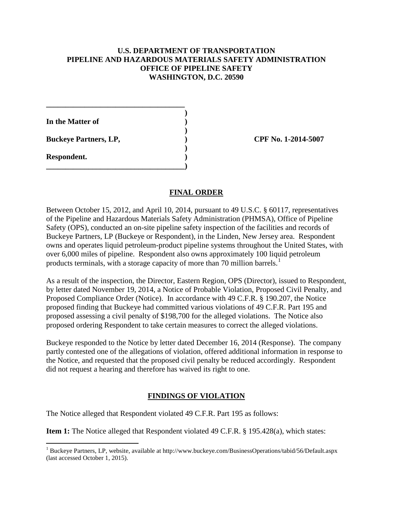#### **U.S. DEPARTMENT OF TRANSPORTATION PIPELINE AND HAZARDOUS MATERIALS SAFETY ADMINISTRATION OFFICE OF PIPELINE SAFETY WASHINGTON, D.C. 20590**

**In the Matter of )** 

**Buckeye Partners, LP,**  (2014-5007)

**\_\_\_\_\_\_\_\_\_\_\_\_\_\_\_\_\_\_\_\_\_\_\_\_\_\_\_\_\_\_\_\_\_\_\_\_ )** 

 **)** 

 **)** 

**\_\_\_\_\_\_\_\_\_\_\_\_\_\_\_\_\_\_\_\_\_\_\_\_\_\_\_\_\_\_\_\_\_\_\_\_)** 

**Respondent. )** 

 $\overline{a}$ 

#### **FINAL ORDER**

Between October 15, 2012, and April 10, 2014, pursuant to 49 U.S.C. § 60117, representatives of the Pipeline and Hazardous Materials Safety Administration (PHMSA), Office of Pipeline Safety (OPS), conducted an on-site pipeline safety inspection of the facilities and records of Buckeye Partners, LP (Buckeye or Respondent), in the Linden, New Jersey area. Respondent owns and operates liquid petroleum-product pipeline systems throughout the United States, with over 6,000 miles of pipeline. Respondent also owns approximately 100 liquid petroleum products terminals, with a storage capacity of more than 70 million barrels.<sup>1</sup>

As a result of the inspection, the Director, Eastern Region, OPS (Director), issued to Respondent, by letter dated November 19, 2014, a Notice of Probable Violation, Proposed Civil Penalty, and Proposed Compliance Order (Notice). In accordance with 49 C.F.R. § 190.207, the Notice proposed finding that Buckeye had committed various violations of 49 C.F.R. Part 195 and proposed assessing a civil penalty of \$198,700 for the alleged violations. The Notice also proposed ordering Respondent to take certain measures to correct the alleged violations.

Buckeye responded to the Notice by letter dated December 16, 2014 (Response). The company partly contested one of the allegations of violation, offered additional information in response to the Notice, and requested that the proposed civil penalty be reduced accordingly. Respondent did not request a hearing and therefore has waived its right to one.

### **FINDINGS OF VIOLATION**

The Notice alleged that Respondent violated 49 C.F.R. Part 195 as follows:

**Item 1:** The Notice alleged that Respondent violated 49 C.F.R. § 195.428(a), which states:

<sup>&</sup>lt;sup>1</sup> Buckeye Partners, LP, website, available at http://www.buckeye.com/BusinessOperations/tabid/56/Default.aspx (last accessed October 1, 2015).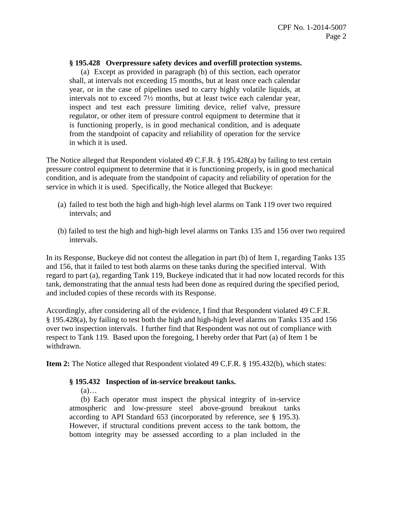#### **§ 195.428 Overpressure safety devices and overfill protection systems.**

(a) Except as provided in paragraph (b) of this section, each operator shall, at intervals not exceeding 15 months, but at least once each calendar year, or in the case of pipelines used to carry highly volatile liquids, at intervals not to exceed 7½ months, but at least twice each calendar year, inspect and test each pressure limiting device, relief valve, pressure regulator, or other item of pressure control equipment to determine that it is functioning properly, is in good mechanical condition, and is adequate from the standpoint of capacity and reliability of operation for the service in which it is used.

The Notice alleged that Respondent violated 49 C.F.R. § 195.428(a) by failing to test certain pressure control equipment to determine that it is functioning properly, is in good mechanical condition, and is adequate from the standpoint of capacity and reliability of operation for the service in which it is used. Specifically, the Notice alleged that Buckeye:

- (a) failed to test both the high and high-high level alarms on Tank 119 over two required intervals; and
- (b) failed to test the high and high-high level alarms on Tanks 135 and 156 over two required intervals.

In its Response, Buckeye did not contest the allegation in part (b) of Item 1, regarding Tanks 135 and 156, that it failed to test both alarms on these tanks during the specified interval. With regard to part (a), regarding Tank 119, Buckeye indicated that it had now located records for this tank, demonstrating that the annual tests had been done as required during the specified period, and included copies of these records with its Response.

Accordingly, after considering all of the evidence, I find that Respondent violated 49 C.F.R. § 195.428(a), by failing to test both the high and high-high level alarms on Tanks 135 and 156 over two inspection intervals. I further find that Respondent was not out of compliance with respect to Tank 119. Based upon the foregoing, I hereby order that Part (a) of Item 1 be withdrawn.

**Item 2:** The Notice alleged that Respondent violated 49 C.F.R. § 195.432(b), which states:

#### **§ 195.432 Inspection of in-service breakout tanks.**

 $(a)$ …

(b) Each operator must inspect the physical integrity of in-service atmospheric and low-pressure steel above-ground breakout tanks according to API Standard 653 (incorporated by reference, *see* § 195.3). However, if structural conditions prevent access to the tank bottom, the bottom integrity may be assessed according to a plan included in the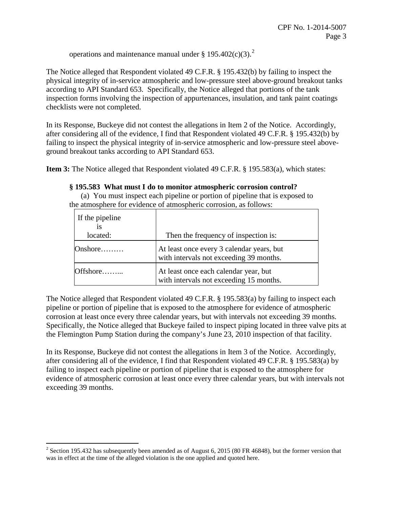operations and maintenance manual under § 195.402 $(c)(3)$ .<sup>2</sup>

The Notice alleged that Respondent violated 49 C.F.R. § 195.432(b) by failing to inspect the physical integrity of in-service atmospheric and low-pressure steel above-ground breakout tanks according to API Standard 653. Specifically, the Notice alleged that portions of the tank inspection forms involving the inspection of appurtenances, insulation, and tank paint coatings checklists were not completed.

In its Response, Buckeye did not contest the allegations in Item 2 of the Notice. Accordingly, after considering all of the evidence, I find that Respondent violated 49 C.F.R. § 195.432(b) by failing to inspect the physical integrity of in-service atmospheric and low-pressure steel aboveground breakout tanks according to API Standard 653.

**Item 3:** The Notice alleged that Respondent violated 49 C.F.R. § 195.583(a), which states:

#### **§ 195.583 What must I do to monitor atmospheric corrosion control?**

(a) You must inspect each pipeline or portion of pipeline that is exposed to the atmosphere for evidence of atmospheric corrosion, as follows:

| If the pipeline<br><b>1S</b> |                                                                                      |
|------------------------------|--------------------------------------------------------------------------------------|
| located:                     | Then the frequency of inspection is:                                                 |
| Onshore                      | At least once every 3 calendar years, but<br>with intervals not exceeding 39 months. |
| Offshore                     | At least once each calendar year, but<br>with intervals not exceeding 15 months.     |

The Notice alleged that Respondent violated 49 C.F.R. § 195.583(a) by failing to inspect each pipeline or portion of pipeline that is exposed to the atmosphere for evidence of atmospheric corrosion at least once every three calendar years, but with intervals not exceeding 39 months. Specifically, the Notice alleged that Buckeye failed to inspect piping located in three valve pits at the Flemington Pump Station during the company's June 23, 2010 inspection of that facility.

In its Response, Buckeye did not contest the allegations in Item 3 of the Notice. Accordingly, after considering all of the evidence, I find that Respondent violated 49 C.F.R. § 195.583(a) by failing to inspect each pipeline or portion of pipeline that is exposed to the atmosphere for evidence of atmospheric corrosion at least once every three calendar years, but with intervals not exceeding 39 months.

<sup>&</sup>lt;sup>2</sup> Section 195.432 has subsequently been amended as of August 6, 2015 (80 FR 46848), but the former version that was in effect at the time of the alleged violation is the one applied and quoted here.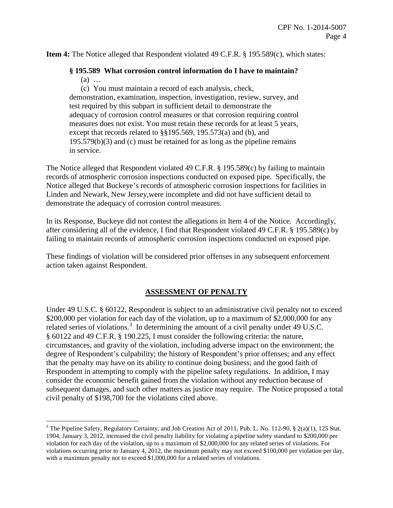**Item 4:** The Notice alleged that Respondent violated 49 C.F.R. § 195.589(c), which states:

# **§ 195.589 What corrosion control information do I have to maintain?**

(a) …

 $\overline{a}$ 

(c) You must maintain a record of each analysis, check, demonstration, examination, inspection, investigation, review, survey, and test required by this subpart in sufficient detail to demonstrate the adequacy of corrosion control measures or that corrosion requiring control measures does not exist. You must retain these records for at least 5 years, except that records related to §§195.569, 195.573(a) and (b), and 195.579(b)(3) and (c) must be retained for as long as the pipeline remains in service.

The Notice alleged that Respondent violated 49 C.F.R. § 195.589(c) by failing to maintain records of atmospheric corrosion inspections conducted on exposed pipe. Specifically, the Notice alleged that Buckeye's records of atmospheric corrosion inspections for facilities in Linden and Newark, New Jersey,were incomplete and did not have sufficient detail to demonstrate the adequacy of corrosion control measures.

In its Response, Buckeye did not contest the allegations in Item 4 of the Notice. Accordingly, after considering all of the evidence, I find that Respondent violated 49 C.F.R. § 195.589(c) by failing to maintain records of atmospheric corrosion inspections conducted on exposed pipe.

These findings of violation will be considered prior offenses in any subsequent enforcement action taken against Respondent.

# **ASSESSMENT OF PENALTY**

Under 49 U.S.C. § 60122, Respondent is subject to an administrative civil penalty not to exceed \$200,000 per violation for each day of the violation, up to a maximum of \$2,000,000 for any related series of violations.<sup>3</sup> In determining the amount of a civil penalty under 49 U.S.C. § 60122 and 49 C.F.R. § 190.225, I must consider the following criteria: the nature, circumstances, and gravity of the violation, including adverse impact on the environment; the degree of Respondent's culpability; the history of Respondent's prior offenses; and any effect that the penalty may have on its ability to continue doing business; and the good faith of Respondent in attempting to comply with the pipeline safety regulations. In addition, I may consider the economic benefit gained from the violation without any reduction because of subsequent damages, and such other matters as justice may require. The Notice proposed a total civil penalty of \$198,700 for the violations cited above.

 $3$  The Pipeline Safety, Regulatory Certainty, and Job Creation Act of 2011, Pub. L. No. 112-90,  $\S$  2(a)(1), 125 Stat. 1904, January 3, 2012, increased the civil penalty liability for violating a pipeline safety standard to \$200,000 per violation for each day of the violation, up to a maximum of \$2,000,000 for any related series of violations. For violations occurring prior to January 4, 2012, the maximum penalty may not exceed \$100,000 per violation per day, with a maximum penalty not to exceed \$1,000,000 for a related series of violations.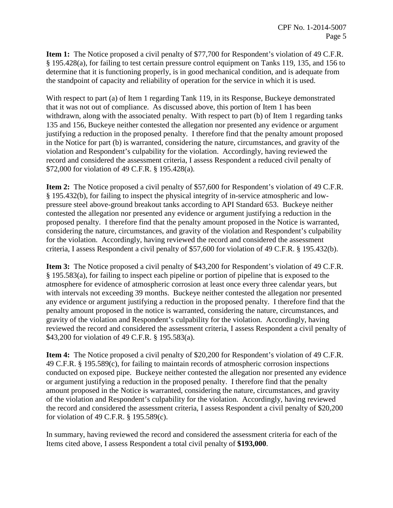**Item 1:** The Notice proposed a civil penalty of \$77,700 for Respondent's violation of 49 C.F.R. § 195.428(a), for failing to test certain pressure control equipment on Tanks 119, 135, and 156 to determine that it is functioning properly, is in good mechanical condition, and is adequate from the standpoint of capacity and reliability of operation for the service in which it is used.

With respect to part (a) of Item 1 regarding Tank 119, in its Response, Buckeye demonstrated that it was not out of compliance. As discussed above, this portion of Item 1 has been withdrawn, along with the associated penalty. With respect to part (b) of Item 1 regarding tanks 135 and 156, Buckeye neither contested the allegation nor presented any evidence or argument justifying a reduction in the proposed penalty. I therefore find that the penalty amount proposed in the Notice for part (b) is warranted, considering the nature, circumstances, and gravity of the violation and Respondent's culpability for the violation. Accordingly, having reviewed the record and considered the assessment criteria, I assess Respondent a reduced civil penalty of \$72,000 for violation of 49 C.F.R. § 195.428(a).

**Item 2:** The Notice proposed a civil penalty of \$57,600 for Respondent's violation of 49 C.F.R. § 195.432(b), for failing to inspect the physical integrity of in-service atmospheric and lowpressure steel above-ground breakout tanks according to API Standard 653. Buckeye neither contested the allegation nor presented any evidence or argument justifying a reduction in the proposed penalty. I therefore find that the penalty amount proposed in the Notice is warranted, considering the nature, circumstances, and gravity of the violation and Respondent's culpability for the violation. Accordingly, having reviewed the record and considered the assessment criteria, I assess Respondent a civil penalty of \$57,600 for violation of 49 C.F.R. § 195.432(b).

**Item 3:** The Notice proposed a civil penalty of \$43,200 for Respondent's violation of 49 C.F.R. § 195.583(a), for failing to inspect each pipeline or portion of pipeline that is exposed to the atmosphere for evidence of atmospheric corrosion at least once every three calendar years, but with intervals not exceeding 39 months. Buckeye neither contested the allegation nor presented any evidence or argument justifying a reduction in the proposed penalty. I therefore find that the penalty amount proposed in the notice is warranted, considering the nature, circumstances, and gravity of the violation and Respondent's culpability for the violation. Accordingly, having reviewed the record and considered the assessment criteria, I assess Respondent a civil penalty of \$43,200 for violation of 49 C.F.R. § 195.583(a).

**Item 4:** The Notice proposed a civil penalty of \$20,200 for Respondent's violation of 49 C.F.R. 49 C.F.R. § 195.589(c), for failing to maintain records of atmospheric corrosion inspections conducted on exposed pipe. Buckeye neither contested the allegation nor presented any evidence or argument justifying a reduction in the proposed penalty. I therefore find that the penalty amount proposed in the Notice is warranted, considering the nature, circumstances, and gravity of the violation and Respondent's culpability for the violation. Accordingly, having reviewed the record and considered the assessment criteria, I assess Respondent a civil penalty of \$20,200 for violation of 49 C.F.R. § 195.589(c).

In summary, having reviewed the record and considered the assessment criteria for each of the Items cited above, I assess Respondent a total civil penalty of **\$193,000**.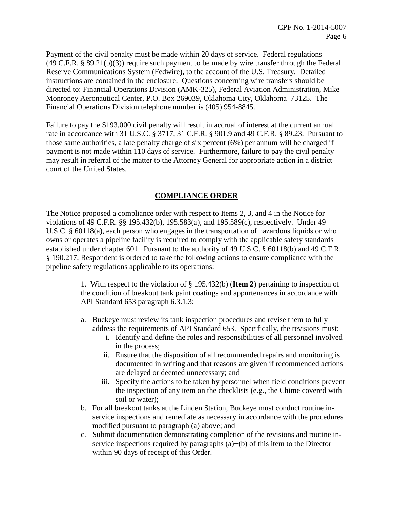Payment of the civil penalty must be made within 20 days of service. Federal regulations  $(49 \text{ C.F.R. } § 89.21(b)(3))$  require such payment to be made by wire transfer through the Federal Reserve Communications System (Fedwire), to the account of the U.S. Treasury. Detailed instructions are contained in the enclosure. Questions concerning wire transfers should be directed to: Financial Operations Division (AMK-325), Federal Aviation Administration, Mike Monroney Aeronautical Center, P.O. Box 269039, Oklahoma City, Oklahoma 73125. The Financial Operations Division telephone number is (405) 954-8845.

Failure to pay the \$193,000 civil penalty will result in accrual of interest at the current annual rate in accordance with 31 U.S.C. § 3717, 31 C.F.R. § 901.9 and 49 C.F.R. § 89.23. Pursuant to those same authorities, a late penalty charge of six percent (6%) per annum will be charged if payment is not made within 110 days of service. Furthermore, failure to pay the civil penalty may result in referral of the matter to the Attorney General for appropriate action in a district court of the United States.

## **COMPLIANCE ORDER**

The Notice proposed a compliance order with respect to Items 2, 3, and 4 in the Notice for violations of 49 C.F.R. §§ 195.432(b), 195.583(a), and 195.589(c), respectively. Under 49 U.S.C. § 60118(a), each person who engages in the transportation of hazardous liquids or who owns or operates a pipeline facility is required to comply with the applicable safety standards established under chapter 601. Pursuant to the authority of 49 U.S.C. § 60118(b) and 49 C.F.R. § 190.217, Respondent is ordered to take the following actions to ensure compliance with the pipeline safety regulations applicable to its operations:

> 1. With respect to the violation of § 195.432(b) (**Item 2**) pertaining to inspection of the condition of breakout tank paint coatings and appurtenances in accordance with API Standard 653 paragraph 6.3.1.3:

- a. Buckeye must review its tank inspection procedures and revise them to fully address the requirements of API Standard 653. Specifically, the revisions must:
	- i. Identify and define the roles and responsibilities of all personnel involved in the process;
	- ii. Ensure that the disposition of all recommended repairs and monitoring is documented in writing and that reasons are given if recommended actions are delayed or deemed unnecessary; and
	- iii. Specify the actions to be taken by personnel when field conditions prevent the inspection of any item on the checklists (e.g., the Chime covered with soil or water);
- b. For all breakout tanks at the Linden Station, Buckeye must conduct routine inservice inspections and remediate as necessary in accordance with the procedures modified pursuant to paragraph (a) above; and
- c. Submit documentation demonstrating completion of the revisions and routine inservice inspections required by paragraphs (a)−(b) of this item to the Director within 90 days of receipt of this Order.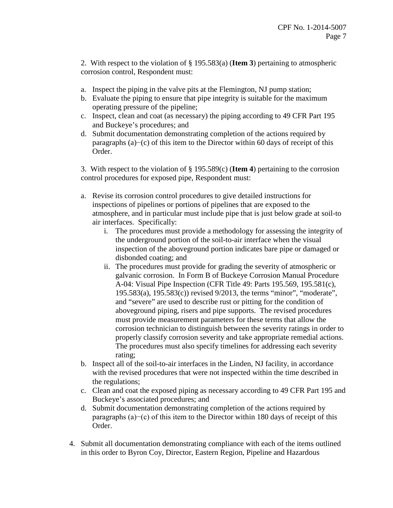2. With respect to the violation of § 195.583(a) (**Item 3**) pertaining to atmospheric corrosion control, Respondent must:

- a. Inspect the piping in the valve pits at the Flemington, NJ pump station;
- b. Evaluate the piping to ensure that pipe integrity is suitable for the maximum operating pressure of the pipeline;
- c. Inspect, clean and coat (as necessary) the piping according to 49 CFR Part 195 and Buckeye's procedures; and
- d. Submit documentation demonstrating completion of the actions required by paragraphs (a)−(c) of this item to the Director within 60 days of receipt of this Order.

3. With respect to the violation of § 195.589(c) (**Item 4**) pertaining to the corrosion control procedures for exposed pipe, Respondent must:

- a. Revise its corrosion control procedures to give detailed instructions for inspections of pipelines or portions of pipelines that are exposed to the atmosphere, and in particular must include pipe that is just below grade at soil-to air interfaces. Specifically:
	- i. The procedures must provide a methodology for assessing the integrity of the underground portion of the soil-to-air interface when the visual inspection of the aboveground portion indicates bare pipe or damaged or disbonded coating; and
	- ii. The procedures must provide for grading the severity of atmospheric or galvanic corrosion. In Form B of Buckeye Corrosion Manual Procedure A-04: Visual Pipe Inspection (CFR Title 49: Parts 195.569, 195.581(c), 195.583(a), 195.583(c)) revised 9/2013, the terms "minor", "moderate", and "severe" are used to describe rust or pitting for the condition of aboveground piping, risers and pipe supports. The revised procedures must provide measurement parameters for these terms that allow the corrosion technician to distinguish between the severity ratings in order to properly classify corrosion severity and take appropriate remedial actions. The procedures must also specify timelines for addressing each severity rating;
- b. Inspect all of the soil-to-air interfaces in the Linden, NJ facility, in accordance with the revised procedures that were not inspected within the time described in the regulations;
- c. Clean and coat the exposed piping as necessary according to 49 CFR Part 195 and Buckeye's associated procedures; and
- d. Submit documentation demonstrating completion of the actions required by paragraphs (a)−(c) of this item to the Director within 180 days of receipt of this Order.
- 4. Submit all documentation demonstrating compliance with each of the items outlined in this order to Byron Coy, Director, Eastern Region, Pipeline and Hazardous